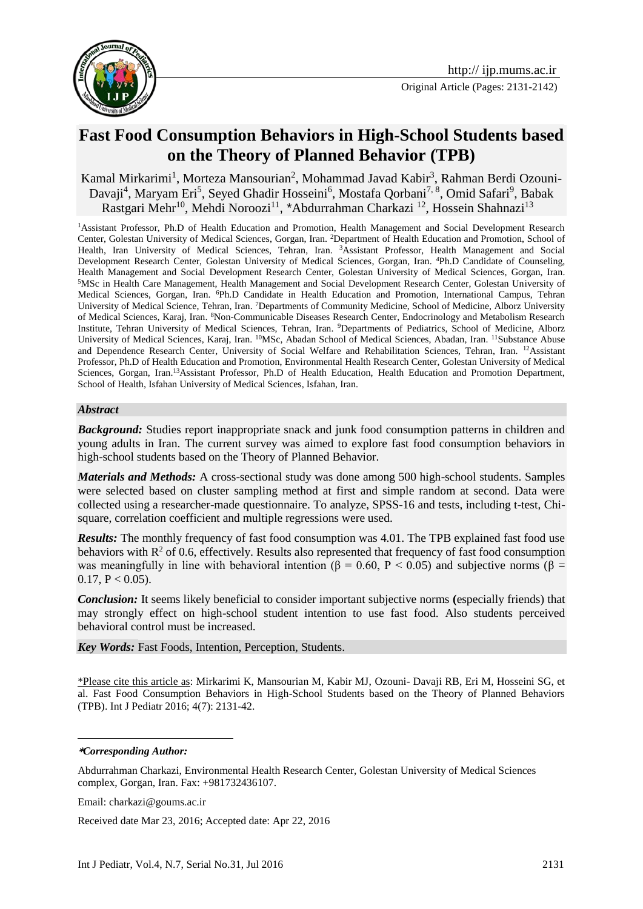

# **Fast Food Consumption Behaviors in High-School Students based on the Theory of Planned Behavior (TPB)**

Kamal Mirkarimi<sup>1</sup>, Morteza Mansourian<sup>2</sup>, Mohammad Javad Kabir<sup>3</sup>, Rahman Berdi Ozouni-Davaji<sup>4</sup>, Maryam Eri<sup>5</sup>, Seyed Ghadir Hosseini<sup>6</sup>, Mostafa Qorbani<sup>7, 8</sup>, Omid Safari<sup>9</sup>, Babak Rastgari Mehr<sup>10</sup>, Mehdi Noroozi<sup>11</sup>, \*Abdurrahman Charkazi <sup>12</sup>, Hossein Shahnazi<sup>13</sup>

<sup>1</sup>Assistant Professor, Ph.D of Health Education and Promotion, Health Management and Social Development Research Center, Golestan University of Medical Sciences, Gorgan, Iran. <sup>2</sup>Department of Health Education and Promotion, School of Health, Iran University of Medical Sciences, Tehran, Iran. <sup>3</sup>Assistant Professor, Health Management and Social Development Research Center, Golestan University of Medical Sciences, Gorgan, Iran. <sup>4</sup>Ph.D Candidate of Counseling, Health Management and Social Development Research Center, Golestan University of Medical Sciences, Gorgan, Iran. <sup>5</sup>MSc in Health Care Management, Health Management and Social Development Research Center, Golestan University of Medical Sciences, Gorgan, Iran. <sup>6</sup>Ph.D Candidate in Health Education and Promotion, International Campus, Tehran University of Medical Science, Tehran, Iran. <sup>7</sup>Departments of Community Medicine, School of Medicine, Alborz University of Medical Sciences, Karaj, Iran. <sup>8</sup>Non-Communicable Diseases Research Center, Endocrinology and Metabolism Research Institute, Tehran University of Medical Sciences, Tehran, Iran. <sup>9</sup>Departments of Pediatrics, School of Medicine, Alborz University of Medical Sciences, Karaj, Iran. <sup>10</sup>MSc, Abadan School of Medical Sciences, Abadan, Iran. <sup>11</sup>Substance Abuse and Dependence Research Center, University of Social Welfare and Rehabilitation Sciences, Tehran, Iran. <sup>12</sup>Assistant Professor, Ph.D of Health Education and Promotion, Environmental Health Research Center, Golestan University of Medical Sciences, Gorgan, Iran.<sup>13</sup>Assistant Professor, Ph.D of Health Education, Health Education and Promotion Department, School of Health, Isfahan University of Medical Sciences, Isfahan, Iran.

#### *Abstract*

**Background:** Studies report inappropriate snack and junk food consumption patterns in children and young adults in Iran. The current survey was aimed to explore fast food consumption behaviors in high-school students based on the Theory of Planned Behavior.

*Materials and Methods:* A cross-sectional study was done among 500 high-school students. Samples were selected based on cluster sampling method at first and simple random at second. Data were collected using a researcher-made questionnaire. To analyze, SPSS-16 and tests, including t-test, Chisquare, correlation coefficient and multiple regressions were used.

*Results:* The monthly frequency of fast food consumption was 4.01. The TPB explained fast food use behaviors with  $R^2$  of 0.6, effectively. Results also represented that frequency of fast food consumption was meaningfully in line with behavioral intention ( $\beta = 0.60$ ,  $P < 0.05$ ) and subjective norms ( $\beta =$  $0.17, P < 0.05$ ).

*Conclusion:* It seems likely beneficial to consider important subjective norms **(**especially friends) that may strongly effect on high-school student intention to use fast food. Also students perceived behavioral control must be increased.

*Key Words:* Fast Foods, Intention, Perception, Students.

\*Please cite this article as: Mirkarimi K, Mansourian M, Kabir MJ, Ozouni- Davaji RB, Eri M, Hosseini SG, et al. Fast Food Consumption Behaviors in High-School Students based on the Theory of Planned Behaviors (TPB). Int J Pediatr 2016; 4(7): 2131-42.

#### **\****Corresponding Author:*

1

[Abdurrahman Charkazi,](http://jehp.net/searchresult.asp?search=&author=Abdurrahman+Charkazi&journal=Y&but_search=Search&entries=10&pg=1&s=0) Environmental Health Research Center, Golestan University of Medical Sciences complex, Gorgan, Iran. Fax: +981732436107.

Email: [charkazi@goums.ac.ir](mailto:charkazi@goums.ac.ir)

Received date Mar 23, 2016; Accepted date: Apr 22, 2016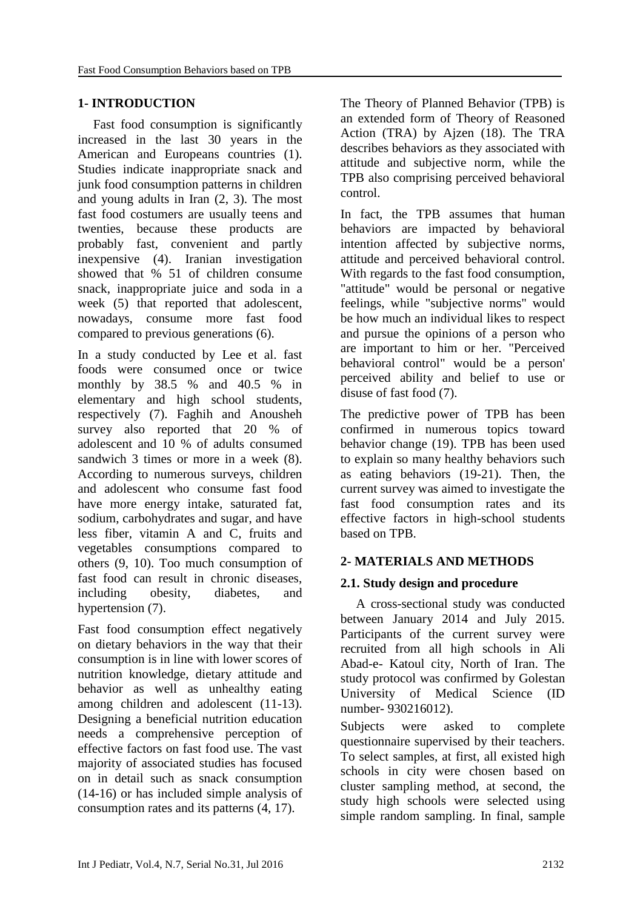### **1- INTRODUCTION**

Fast food consumption is significantly increased in the last 30 years in the American and Europeans countries [\(1\)](#page-9-0). Studies indicate inappropriate snack and junk food consumption patterns in children and young adults in Iran [\(2,](#page-9-1) [3\)](#page-9-2). The most fast food costumers are usually teens and twenties, because these products are probably fast, convenient and partly inexpensive [\(4\)](#page-9-3). Iranian investigation showed that % 51 of children consume snack, inappropriate juice and soda in a week [\(5\)](#page-9-4) that reported that adolescent, nowadays, consume more fast food compared to previous generations [\(6\)](#page-9-5).

In a study conducted by Lee et al. fast foods were consumed once or twice monthly by 38.5 % and 40.5 % in elementary and high school students, respectively [\(7\)](#page-9-6). Faghih and Anousheh survey also reported that 20 % of adolescent and 10 % of adults consumed sandwich 3 times or more in a week [\(8\)](#page-9-7). According to numerous surveys, children and adolescent who consume fast food have more energy intake, saturated fat, sodium, carbohydrates and sugar, and have less fiber, vitamin A and C, fruits and vegetables consumptions compared to others [\(9,](#page-9-8) [10\)](#page-10-0). Too much consumption of fast food can result in chronic diseases, including obesity, diabetes, and hypertension [\(7\)](#page-9-6).

Fast food consumption effect negatively on dietary behaviors in the way that their consumption is in line with lower scores of nutrition knowledge, dietary attitude and behavior as well as unhealthy eating among children and adolescent [\(11-13\)](#page-10-1). Designing a beneficial nutrition education needs a comprehensive perception of effective factors on fast food use. The vast majority of associated studies has focused on in detail such as snack consumption [\(14-16\)](#page-10-2) or has included simple analysis of consumption rates and its patterns [\(4,](#page-9-3) [17\)](#page-10-3).

The Theory of Planned Behavior (TPB) is an extended form of Theory of Reasoned Action (TRA) by Ajzen [\(18\)](#page-10-4). The TRA describes behaviors as they associated with attitude and subjective norm, while the TPB also comprising perceived behavioral control.

In fact, the TPB assumes that human behaviors are impacted by behavioral intention affected by subjective norms, attitude and perceived behavioral control. With regards to the fast food consumption, "attitude" would be personal or negative feelings, while "subjective norms" would be how much an individual likes to respect and pursue the opinions of a person who are important to him or her. "Perceived behavioral control" would be a person' perceived ability and belief to use or disuse of fast food [\(7\)](#page-9-6).

The predictive power of TPB has been confirmed in numerous topics toward behavior change [\(19\)](#page-10-5). TPB has been used to explain so many healthy behaviors such as eating behaviors [\(19-21\)](#page-10-5). Then, the current survey was aimed to investigate the fast food consumption rates and its effective factors in high-school students based on TPB.

### **2- MATERIALS AND METHODS**

### **2.1. Study design and procedure**

A cross-sectional study was conducted between January 2014 and July 2015. Participants of the current survey were recruited from all high schools in Ali Abad-e- Katoul city, North of Iran. The study protocol was confirmed by Golestan University of Medical Science (ID number- 930216012).

Subjects were asked to complete questionnaire supervised by their teachers. To select samples, at first, all existed high schools in city were chosen based on cluster sampling method, at second, the study high schools were selected using simple random sampling. In final, sample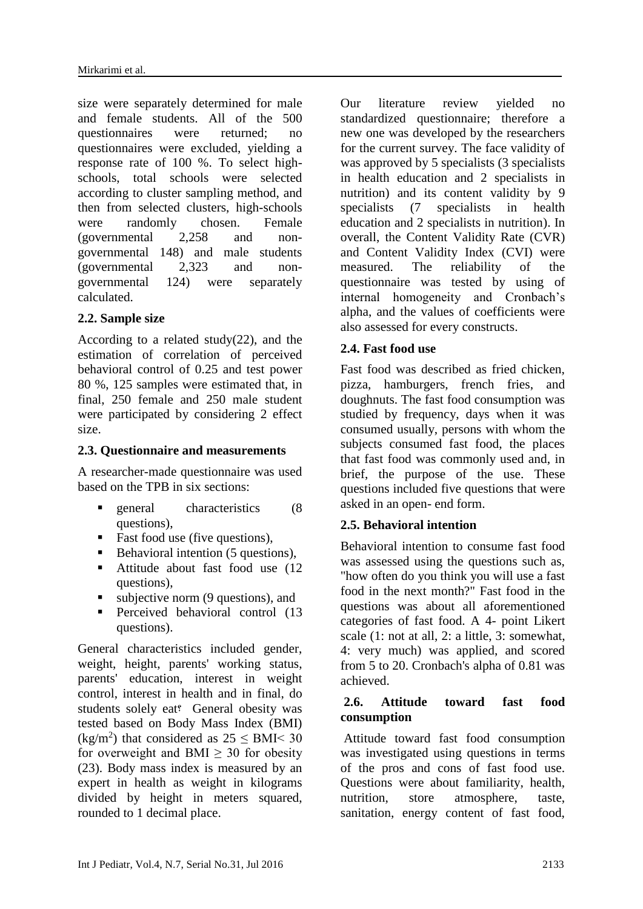size were separately determined for male and female students. All of the 500 questionnaires were returned; no questionnaires were excluded, yielding a response rate of 100 %. To select highschools, total schools were selected according to cluster sampling method, and then from selected clusters, high-schools were randomly chosen. Female (governmental 2,258 and nongovernmental 148) and male students (governmental 2,323 and nongovernmental 124) were separately calculated.

# **2.2. Sample size**

According to a related study[\(22\)](#page-10-6), and the estimation of correlation of perceived behavioral control of 0.25 and test power 80 %, 125 samples were estimated that, in final, 250 female and 250 male student were participated by considering 2 effect size.

### **2.3. Questionnaire and measurements**

A researcher-made questionnaire was used based on the TPB in six sections:

- general characteristics (8 questions),
- Fast food use (five questions),
- $\blacksquare$  Behavioral intention (5 questions),
- Attitude about fast food use (12 questions),
- $\blacksquare$  subjective norm (9 questions), and
- **Perceived behavioral control (13** questions).

General characteristics included gender, weight, height, parents' working status, parents' education, interest in weight control, interest in health and in final, do students solely eat؟ General obesity was tested based on Body Mass Index (BMI)  $(kg/m<sup>2</sup>)$  that considered as  $25 \leq BMI < 30$ for overweight and BMI  $\geq$  30 for obesity [\(23\)](#page-10-7). Body mass index is measured by an expert in health as weight in kilograms divided by height in meters squared, rounded to 1 decimal place.

Our literature review yielded no standardized questionnaire; therefore a new one was developed by the researchers for the current survey. The face validity of was approved by 5 specialists (3 specialists) in health education and 2 specialists in nutrition) and its content validity by 9 specialists (7 specialists in health education and 2 specialists in nutrition). In overall, the Content Validity Rate (CVR) and Content Validity Index (CVI) were measured. The reliability of the questionnaire was tested by using of internal homogeneity and Cronbach's alpha, and the values of coefficients were also assessed for every constructs.

# **2.4. Fast food use**

Fast food was described as fried chicken, pizza, hamburgers, french fries, and doughnuts. The fast food consumption was studied by frequency, days when it was consumed usually, persons with whom the subjects consumed fast food, the places that fast food was commonly used and, in brief, the purpose of the use. These questions included five questions that were asked in an open- end form.

### **2.5. Behavioral intention**

Behavioral intention to consume fast food was assessed using the questions such as, "how often do you think you will use a fast food in the next month?" Fast food in the questions was about all aforementioned categories of fast food. A 4- point Likert scale (1: not at all, 2: a little, 3: somewhat, 4: very much) was applied, and scored from 5 to 20. Cronbach's alpha of 0.81 was achieved.

#### **2.6. Attitude toward fast food consumption**

Attitude toward fast food consumption was investigated using questions in terms of the pros and cons of fast food use. Questions were about familiarity, health, nutrition, store atmosphere, taste, sanitation, energy content of fast food,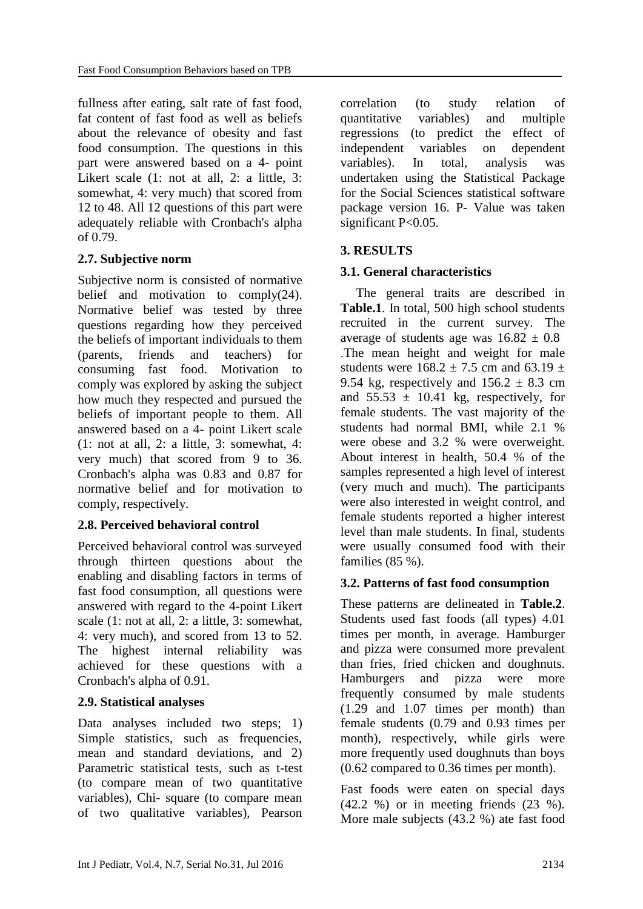fullness after eating, salt rate of fast food, fat content of fast food as well as beliefs about the relevance of obesity and fast food consumption. The questions in this part were answered based on a 4- point Likert scale (1: not at all, 2: a little, 3: somewhat, 4: very much) that scored from 12 to 48. All 12 questions of this part were adequately reliable with Cronbach's alpha of 0.79.

# **2.7. Subjective norm**

Subjective norm is consisted of normative belief and motivation to comply[\(24\)](#page-10-8). Normative belief was tested by three questions regarding how they perceived the beliefs of important individuals to them (parents, friends and teachers) for consuming fast food. Motivation to comply was explored by asking the subject how much they respected and pursued the beliefs of important people to them. All answered based on a 4- point Likert scale  $(1: \text{not at all}, 2: \text{a little}, 3: \text{somewhat}, 4:$ very much) that scored from 9 to 36. Cronbach's alpha was 0.83 and 0.87 for normative belief and for motivation to comply, respectively.

### **2.8. Perceived behavioral control**

Perceived behavioral control was surveyed through thirteen questions about the enabling and disabling factors in terms of fast food consumption, all questions were answered with regard to the 4-point Likert scale (1: not at all, 2: a little, 3: somewhat, 4: very much), and scored from 13 to 52. The highest internal reliability was achieved for these questions with a Cronbach's alpha of 0.91.

# **2.9. Statistical analyses**

Data analyses included two steps; 1) Simple statistics, such as frequencies, mean and standard deviations, and 2) Parametric statistical tests, such as t-test (to compare mean of two quantitative variables), Chi- square (to compare mean of two qualitative variables), Pearson

correlation (to study relation of quantitative variables) and multiple regressions (to predict the effect of independent variables on dependent variables). In total, analysis was undertaken using the Statistical Package for the Social Sciences statistical software package version 16. P- Value was taken significant P<0.05.

# **3. RESULTS**

# **3.1. General characteristics**

The general traits are described in **Table.1**. In total, 500 high school students recruited in the current survey. The average of students age was  $16.82 \pm 0.8$ .The mean height and weight for male students were  $168.2 + 7.5$  cm and  $63.19 +$ 9.54 kg, respectively and  $156.2 \pm 8.3$  cm and  $55.53 \pm 10.41$  kg, respectively, for female students. The vast majority of the students had normal BMI, while 2.1 % were obese and 3.2 % were overweight. About interest in health, 50.4 % of the samples represented a high level of interest (very much and much). The participants were also interested in weight control, and female students reported a higher interest level than male students. In final, students were usually consumed food with their families (85 %).

### **3.2. Patterns of fast food consumption**

These patterns are delineated in **Table.2**. Students used fast foods (all types) 4.01 times per month, in average. Hamburger and pizza were consumed more prevalent than fries, fried chicken and doughnuts. Hamburgers and pizza were more frequently consumed by male students (1.29 and 1.07 times per month) than female students (0.79 and 0.93 times per month), respectively, while girls were more frequently used doughnuts than boys (0.62 compared to 0.36 times per month).

Fast foods were eaten on special days (42.2 %) or in meeting friends (23 %). More male subjects (43.2 %) ate fast food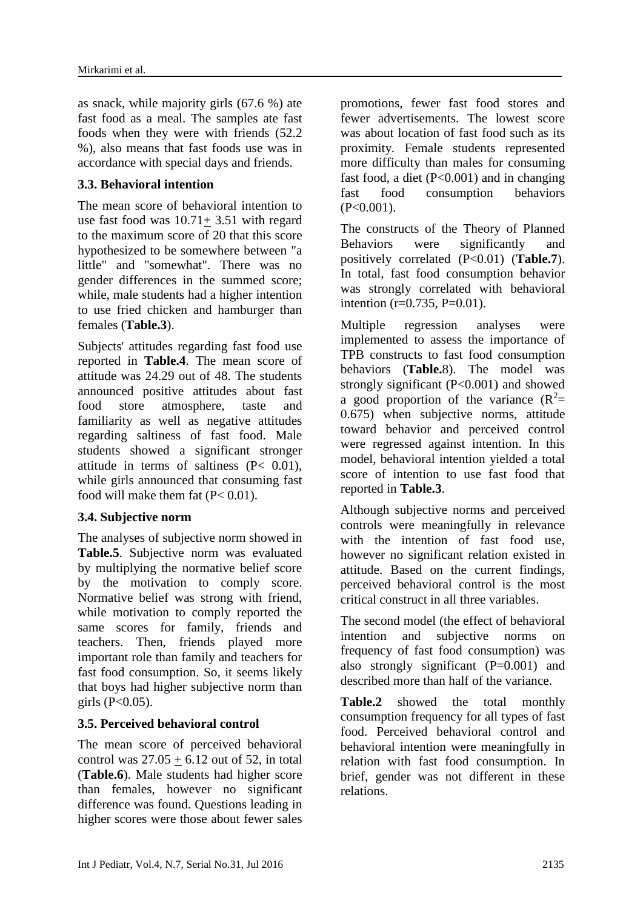as snack, while majority girls (67.6 %) ate fast food as a meal. The samples ate fast foods when they were with friends (52.2 %), also means that fast foods use was in accordance with special days and friends.

### **3.3. Behavioral intention**

The mean score of behavioral intention to use fast food was 10.71+ 3.51 with regard to the maximum score of 20 that this score hypothesized to be somewhere between "a little" and "somewhat". There was no gender differences in the summed score; while, male students had a higher intention to use fried chicken and hamburger than females (**Table.3**).

Subjects' attitudes regarding fast food use reported in **Table.4**. The mean score of attitude was 24.29 out of 48. The students announced positive attitudes about fast food store atmosphere, taste and familiarity as well as negative attitudes regarding saltiness of fast food. Male students showed a significant stronger attitude in terms of saltiness (P< 0.01), while girls announced that consuming fast food will make them fat  $(P< 0.01)$ .

### **3.4. Subjective norm**

The analyses of subjective norm showed in **Table.5**. Subjective norm was evaluated by multiplying the normative belief score by the motivation to comply score. Normative belief was strong with friend, while motivation to comply reported the same scores for family, friends and teachers. Then, friends played more important role than family and teachers for fast food consumption. So, it seems likely that boys had higher subjective norm than girls  $(P<0.05)$ .

# **3.5. Perceived behavioral control**

The mean score of perceived behavioral control was  $27.05 + 6.12$  out of 52, in total (**Table.6**). Male students had higher score than females, however no significant difference was found. Questions leading in higher scores were those about fewer sales promotions, fewer fast food stores and fewer advertisements. The lowest score was about location of fast food such as its proximity. Female students represented more difficulty than males for consuming fast food, a diet  $(P<0.001)$  and in changing fast food consumption behaviors  $(P<0.001)$ .

The constructs of the Theory of Planned Behaviors were significantly and positively correlated (P<0.01) (**Table.7**). In total, fast food consumption behavior was strongly correlated with behavioral intention  $(r=0.735, P=0.01)$ .

Multiple regression analyses were implemented to assess the importance of TPB constructs to fast food consumption behaviors (**Table.**8). The model was strongly significant (P<0.001) and showed a good proportion of the variance  $(R^2=$ 0.675) when subjective norms, attitude toward behavior and perceived control were regressed against intention. In this model, behavioral intention yielded a total score of intention to use fast food that reported in **Table.3**.

Although subjective norms and perceived controls were meaningfully in relevance with the intention of fast food use. however no significant relation existed in attitude. Based on the current findings, perceived behavioral control is the most critical construct in all three variables.

The second model (the effect of behavioral intention and subjective norms on frequency of fast food consumption) was also strongly significant (P=0.001) and described more than half of the variance.

**Table.2** showed the total monthly consumption frequency for all types of fast food. Perceived behavioral control and behavioral intention were meaningfully in relation with fast food consumption. In brief, gender was not different in these relations.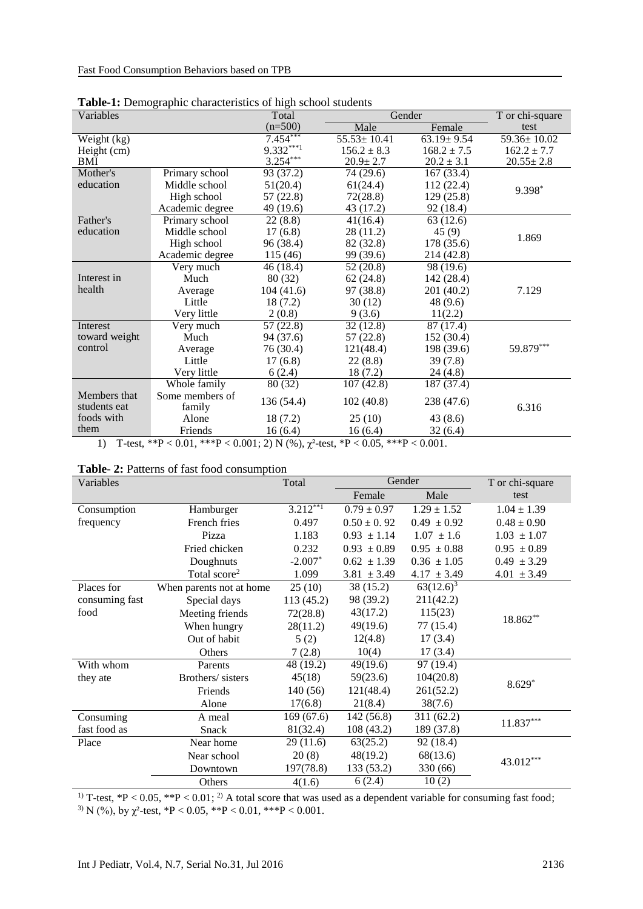| Gender<br>$(n=500)$<br>Male<br>test<br>Female<br>$7.454***$<br>$55.53 \pm 10.41$<br>$63.19 \pm 9.54$<br>59.36±10.02<br>Weight (kg)<br>$9.332***1$<br>$162.2 \pm 7.7$<br>$156.2 \pm 8.3$<br>$168.2 \pm 7.5$<br>Height (cm)<br>$3.254***$<br>$20.9 \pm 2.7$<br>$20.55 \pm 2.8$<br>BMI<br>$20.2 \pm 3.1$<br>Mother's<br>Primary school<br>93 (37.2)<br>74 (29.6)<br>167(33.4)<br>education<br>Middle school<br>51(20.4)<br>112 (22.4)<br>61(24.4)<br>9.398*<br>High school<br>57(22.8)<br>72(28.8)<br>129 (25.8)<br>Academic degree<br>49 (19.6)<br>43 (17.2)<br>92 (18.4)<br>22(8.8)<br>63(12.6)<br>Primary school<br>41(16.4)<br>Father's<br>education<br>Middle school<br>28 (11.2)<br>45(9)<br>17(6.8)<br>1.869<br>178 (35.6)<br>High school<br>96 (38.4)<br>82 (32.8)<br>Academic degree<br>99 (39.6)<br>115 (46)<br>214 (42.8)<br>52 $(20.\overline{8})$<br>46 (18.4)<br>98 (19.6)<br>Very much<br>Much<br>Interest in<br>80 (32)<br>62(24.8)<br>142 (28.4)<br>health<br>7.129<br>104(41.6)<br>97 (38.8)<br>201 (40.2)<br>Average<br>Little<br>18(7.2)<br>30(12)<br>48 (9.6)<br>Very little<br>2(0.8)<br>9(3.6)<br>11(2.2)<br>Very much<br>57(22.8)<br>32(12.8)<br>87 (17.4)<br>Interest<br>toward weight<br>Much<br>94 (37.6)<br>152 (30.4)<br>57 (22.8)<br>59.879***<br>control<br>76 (30.4)<br>121(48.4)<br>198 (39.6)<br>Average<br>Little<br>17(6.8)<br>22(8.8)<br>39(7.8)<br>Very little<br>18(7.2)<br>6(2.4)<br>24 (4.8)<br>107(42.8)<br>187 (37.4)<br>Whole family<br>80 (32)<br>Members that<br>Some members of<br>136 (54.4)<br>102(40.8)<br>238 (47.6)<br>students eat<br>6.316<br>family<br>foods with<br>Alone<br>25(10)<br>18 (7.2)<br>43(8.6)<br>them<br>Friends<br>16(6.4)<br>32(6.4)<br>16(6.4) | <b>Table-1.</b> Demographic characteristics of high school students |  |       |  |  |                 |  |  |
|---------------------------------------------------------------------------------------------------------------------------------------------------------------------------------------------------------------------------------------------------------------------------------------------------------------------------------------------------------------------------------------------------------------------------------------------------------------------------------------------------------------------------------------------------------------------------------------------------------------------------------------------------------------------------------------------------------------------------------------------------------------------------------------------------------------------------------------------------------------------------------------------------------------------------------------------------------------------------------------------------------------------------------------------------------------------------------------------------------------------------------------------------------------------------------------------------------------------------------------------------------------------------------------------------------------------------------------------------------------------------------------------------------------------------------------------------------------------------------------------------------------------------------------------------------------------------------------------------------------------------------------------------------------------------------------------------------------------|---------------------------------------------------------------------|--|-------|--|--|-----------------|--|--|
|                                                                                                                                                                                                                                                                                                                                                                                                                                                                                                                                                                                                                                                                                                                                                                                                                                                                                                                                                                                                                                                                                                                                                                                                                                                                                                                                                                                                                                                                                                                                                                                                                                                                                                                     | Variables                                                           |  | Total |  |  | T or chi-square |  |  |
|                                                                                                                                                                                                                                                                                                                                                                                                                                                                                                                                                                                                                                                                                                                                                                                                                                                                                                                                                                                                                                                                                                                                                                                                                                                                                                                                                                                                                                                                                                                                                                                                                                                                                                                     |                                                                     |  |       |  |  |                 |  |  |
|                                                                                                                                                                                                                                                                                                                                                                                                                                                                                                                                                                                                                                                                                                                                                                                                                                                                                                                                                                                                                                                                                                                                                                                                                                                                                                                                                                                                                                                                                                                                                                                                                                                                                                                     |                                                                     |  |       |  |  |                 |  |  |
|                                                                                                                                                                                                                                                                                                                                                                                                                                                                                                                                                                                                                                                                                                                                                                                                                                                                                                                                                                                                                                                                                                                                                                                                                                                                                                                                                                                                                                                                                                                                                                                                                                                                                                                     |                                                                     |  |       |  |  |                 |  |  |
|                                                                                                                                                                                                                                                                                                                                                                                                                                                                                                                                                                                                                                                                                                                                                                                                                                                                                                                                                                                                                                                                                                                                                                                                                                                                                                                                                                                                                                                                                                                                                                                                                                                                                                                     |                                                                     |  |       |  |  |                 |  |  |
|                                                                                                                                                                                                                                                                                                                                                                                                                                                                                                                                                                                                                                                                                                                                                                                                                                                                                                                                                                                                                                                                                                                                                                                                                                                                                                                                                                                                                                                                                                                                                                                                                                                                                                                     |                                                                     |  |       |  |  |                 |  |  |
|                                                                                                                                                                                                                                                                                                                                                                                                                                                                                                                                                                                                                                                                                                                                                                                                                                                                                                                                                                                                                                                                                                                                                                                                                                                                                                                                                                                                                                                                                                                                                                                                                                                                                                                     |                                                                     |  |       |  |  |                 |  |  |
|                                                                                                                                                                                                                                                                                                                                                                                                                                                                                                                                                                                                                                                                                                                                                                                                                                                                                                                                                                                                                                                                                                                                                                                                                                                                                                                                                                                                                                                                                                                                                                                                                                                                                                                     |                                                                     |  |       |  |  |                 |  |  |
|                                                                                                                                                                                                                                                                                                                                                                                                                                                                                                                                                                                                                                                                                                                                                                                                                                                                                                                                                                                                                                                                                                                                                                                                                                                                                                                                                                                                                                                                                                                                                                                                                                                                                                                     |                                                                     |  |       |  |  |                 |  |  |
|                                                                                                                                                                                                                                                                                                                                                                                                                                                                                                                                                                                                                                                                                                                                                                                                                                                                                                                                                                                                                                                                                                                                                                                                                                                                                                                                                                                                                                                                                                                                                                                                                                                                                                                     |                                                                     |  |       |  |  |                 |  |  |
|                                                                                                                                                                                                                                                                                                                                                                                                                                                                                                                                                                                                                                                                                                                                                                                                                                                                                                                                                                                                                                                                                                                                                                                                                                                                                                                                                                                                                                                                                                                                                                                                                                                                                                                     |                                                                     |  |       |  |  |                 |  |  |
|                                                                                                                                                                                                                                                                                                                                                                                                                                                                                                                                                                                                                                                                                                                                                                                                                                                                                                                                                                                                                                                                                                                                                                                                                                                                                                                                                                                                                                                                                                                                                                                                                                                                                                                     |                                                                     |  |       |  |  |                 |  |  |
|                                                                                                                                                                                                                                                                                                                                                                                                                                                                                                                                                                                                                                                                                                                                                                                                                                                                                                                                                                                                                                                                                                                                                                                                                                                                                                                                                                                                                                                                                                                                                                                                                                                                                                                     |                                                                     |  |       |  |  |                 |  |  |
|                                                                                                                                                                                                                                                                                                                                                                                                                                                                                                                                                                                                                                                                                                                                                                                                                                                                                                                                                                                                                                                                                                                                                                                                                                                                                                                                                                                                                                                                                                                                                                                                                                                                                                                     |                                                                     |  |       |  |  |                 |  |  |
|                                                                                                                                                                                                                                                                                                                                                                                                                                                                                                                                                                                                                                                                                                                                                                                                                                                                                                                                                                                                                                                                                                                                                                                                                                                                                                                                                                                                                                                                                                                                                                                                                                                                                                                     |                                                                     |  |       |  |  |                 |  |  |
|                                                                                                                                                                                                                                                                                                                                                                                                                                                                                                                                                                                                                                                                                                                                                                                                                                                                                                                                                                                                                                                                                                                                                                                                                                                                                                                                                                                                                                                                                                                                                                                                                                                                                                                     |                                                                     |  |       |  |  |                 |  |  |
|                                                                                                                                                                                                                                                                                                                                                                                                                                                                                                                                                                                                                                                                                                                                                                                                                                                                                                                                                                                                                                                                                                                                                                                                                                                                                                                                                                                                                                                                                                                                                                                                                                                                                                                     |                                                                     |  |       |  |  |                 |  |  |
|                                                                                                                                                                                                                                                                                                                                                                                                                                                                                                                                                                                                                                                                                                                                                                                                                                                                                                                                                                                                                                                                                                                                                                                                                                                                                                                                                                                                                                                                                                                                                                                                                                                                                                                     |                                                                     |  |       |  |  |                 |  |  |
|                                                                                                                                                                                                                                                                                                                                                                                                                                                                                                                                                                                                                                                                                                                                                                                                                                                                                                                                                                                                                                                                                                                                                                                                                                                                                                                                                                                                                                                                                                                                                                                                                                                                                                                     |                                                                     |  |       |  |  |                 |  |  |
|                                                                                                                                                                                                                                                                                                                                                                                                                                                                                                                                                                                                                                                                                                                                                                                                                                                                                                                                                                                                                                                                                                                                                                                                                                                                                                                                                                                                                                                                                                                                                                                                                                                                                                                     |                                                                     |  |       |  |  |                 |  |  |
|                                                                                                                                                                                                                                                                                                                                                                                                                                                                                                                                                                                                                                                                                                                                                                                                                                                                                                                                                                                                                                                                                                                                                                                                                                                                                                                                                                                                                                                                                                                                                                                                                                                                                                                     |                                                                     |  |       |  |  |                 |  |  |
|                                                                                                                                                                                                                                                                                                                                                                                                                                                                                                                                                                                                                                                                                                                                                                                                                                                                                                                                                                                                                                                                                                                                                                                                                                                                                                                                                                                                                                                                                                                                                                                                                                                                                                                     |                                                                     |  |       |  |  |                 |  |  |
|                                                                                                                                                                                                                                                                                                                                                                                                                                                                                                                                                                                                                                                                                                                                                                                                                                                                                                                                                                                                                                                                                                                                                                                                                                                                                                                                                                                                                                                                                                                                                                                                                                                                                                                     |                                                                     |  |       |  |  |                 |  |  |
|                                                                                                                                                                                                                                                                                                                                                                                                                                                                                                                                                                                                                                                                                                                                                                                                                                                                                                                                                                                                                                                                                                                                                                                                                                                                                                                                                                                                                                                                                                                                                                                                                                                                                                                     |                                                                     |  |       |  |  |                 |  |  |
|                                                                                                                                                                                                                                                                                                                                                                                                                                                                                                                                                                                                                                                                                                                                                                                                                                                                                                                                                                                                                                                                                                                                                                                                                                                                                                                                                                                                                                                                                                                                                                                                                                                                                                                     |                                                                     |  |       |  |  |                 |  |  |
|                                                                                                                                                                                                                                                                                                                                                                                                                                                                                                                                                                                                                                                                                                                                                                                                                                                                                                                                                                                                                                                                                                                                                                                                                                                                                                                                                                                                                                                                                                                                                                                                                                                                                                                     |                                                                     |  |       |  |  |                 |  |  |
|                                                                                                                                                                                                                                                                                                                                                                                                                                                                                                                                                                                                                                                                                                                                                                                                                                                                                                                                                                                                                                                                                                                                                                                                                                                                                                                                                                                                                                                                                                                                                                                                                                                                                                                     |                                                                     |  |       |  |  |                 |  |  |

**Table-1:** Demographic characteristics of high school students

1) T-test, \*\*P < 0.01, \*\*\*P < 0.001; 2) N (%),  $\chi^2$ -test, \*P < 0.05, \*\*\*P < 0.001.

| Table-2: Patterns of fast food consumption |  |  |  |  |  |  |  |  |
|--------------------------------------------|--|--|--|--|--|--|--|--|
|--------------------------------------------|--|--|--|--|--|--|--|--|

| Variables      |                          | Total       | Gender          |                 | T or chi-square |
|----------------|--------------------------|-------------|-----------------|-----------------|-----------------|
|                |                          |             | Female          | Male            | test            |
| Consumption    | Hamburger                | $3.212***1$ | $0.79 \pm 0.97$ | $1.29 \pm 1.52$ | $1.04 \pm 1.39$ |
| frequency      | French fries             | 0.497       | $0.50 \pm 0.92$ | $0.49 \pm 0.92$ | $0.48 \pm 0.90$ |
|                | Pizza                    | 1.183       | $0.93 \pm 1.14$ | $1.07 \pm 1.6$  | $1.03 \pm 1.07$ |
|                | Fried chicken            | 0.232       | $0.93 \pm 0.89$ | $0.95 \pm 0.88$ | $0.95 \pm 0.89$ |
|                | Doughnuts                | $-2.007*$   | $0.62 \pm 1.39$ | $0.36 \pm 1.05$ | $0.49 \pm 3.29$ |
|                | Total score <sup>2</sup> | 1.099       | $3.81 \pm 3.49$ | $4.17 \pm 3.49$ | $4.01 \pm 3.49$ |
| Places for     | When parents not at home | 25(10)      | 38 (15.2)       | $63(12.6)^3$    |                 |
| consuming fast | Special days             | 113(45.2)   | 98 (39.2)       | 211(42.2)       |                 |
| food           | Meeting friends          | 72(28.8)    | 43(17.2)        | 115(23)         | 18.862**        |
|                | When hungry              | 28(11.2)    | 49(19.6)        | 77 (15.4)       |                 |
|                | Out of habit             | 5(2)        | 12(4.8)         | 17(3.4)         |                 |
|                | Others                   | 7(2.8)      | 10(4)           | 17(3.4)         |                 |
| With whom      | Parents                  | 48 (19.2)   | 49(19.6)        | 97 (19.4)       |                 |
| they ate       | Brothers/sisters         | 45(18)      | 59(23.6)        | 104(20.8)       | $8.629*$        |
|                | Friends                  | 140 (56)    | 121(48.4)       | 261(52.2)       |                 |
|                | Alone                    | 17(6.8)     | 21(8.4)         | 38(7.6)         |                 |
| Consuming      | A meal                   | 169(67.6)   | 142(56.8)       | 311(62.2)       | $11.837***$     |
| fast food as   | Snack                    | 81(32.4)    | 108(43.2)       | 189 (37.8)      |                 |
| Place          | Near home                | 29(11.6)    | 63(25.2)        | 92 (18.4)       |                 |
|                | Near school              | 20(8)       | 48(19.2)        | 68(13.6)        |                 |
|                | Downtown                 | 197(78.8)   | 133 (53.2)      | 330 (66)        | $43.012***$     |
|                | Others                   | 4(1.6)      | 6(2.4)          | 10(2)           |                 |

<sup>1)</sup> T-test,  $*P < 0.05$ ,  $*P < 0.01$ ; <sup>2)</sup> A total score that was used as a dependent variable for consuming fast food; <sup>3)</sup> N (%), by  $\chi^2$ -test, \*P < 0.05, \*\*P < 0.01, \*\*\*P < 0.001.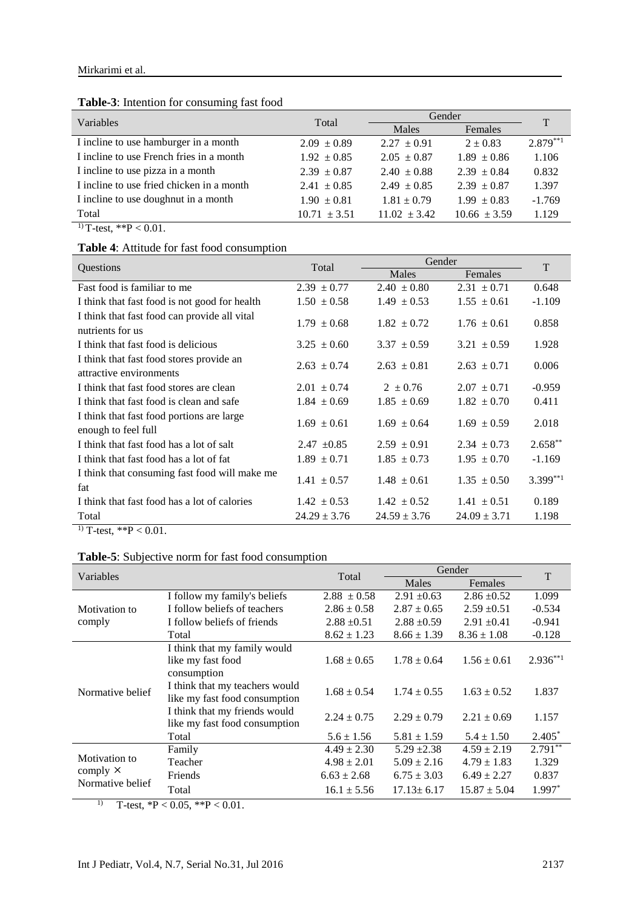| <b>Table-3.</b> Intention for consuming rast food |                  |                  |                  |             |
|---------------------------------------------------|------------------|------------------|------------------|-------------|
| Variables                                         | Total            | Gender           |                  |             |
|                                                   |                  | Males            | Females          |             |
| I incline to use hamburger in a month             | $2.09 \pm 0.89$  | $2.27 \pm 0.91$  | $2 \pm 0.83$     | $2.879***1$ |
| I incline to use French fries in a month          | $1.92 \pm 0.85$  | $2.05 \pm 0.87$  | $1.89 \pm 0.86$  | 1.106       |
| I incline to use pizza in a month                 | $2.39 \pm 0.87$  | $2.40 \pm 0.88$  | $2.39 \pm 0.84$  | 0.832       |
| I incline to use fried chicken in a month         | $2.41 \pm 0.85$  | $2.49 \pm 0.85$  | $2.39 \pm 0.87$  | 1.397       |
| I incline to use doughnut in a month              | $1.90 \pm 0.81$  | $1.81 \pm 0.79$  | $1.99 \pm 0.83$  | $-1.769$    |
| Total                                             | $10.71 \pm 3.51$ | $11.02 \pm 3.42$ | $10.66 \pm 3.59$ | 1.129       |
|                                                   |                  |                  |                  |             |

#### **Table-3**: Intention for consuming fast food

 $1)$  T-test, \*\*P < 0.01.

#### **Table 4**: Attitude for fast food consumption

|                                                                     | Total            |                  | Gender           |             |  |
|---------------------------------------------------------------------|------------------|------------------|------------------|-------------|--|
| Questions                                                           |                  | Males            | Females          | T           |  |
| Fast food is familiar to me                                         | $2.39 \pm 0.77$  | $2.40 \pm 0.80$  | $2.31 \pm 0.71$  | 0.648       |  |
| I think that fast food is not good for health                       | $1.50 \pm 0.58$  | $1.49 \pm 0.53$  | $1.55 \pm 0.61$  | $-1.109$    |  |
| I think that fast food can provide all vital<br>nutrients for us    | $1.79 \pm 0.68$  | $1.82 \pm 0.72$  | $1.76 \pm 0.61$  | 0.858       |  |
| I think that fast food is delicious                                 | $3.25 \pm 0.60$  | $3.37 \pm 0.59$  | $3.21 \pm 0.59$  | 1.928       |  |
| I think that fast food stores provide an<br>attractive environments | $2.63 \pm 0.74$  | $2.63 \pm 0.81$  | $2.63 \pm 0.71$  | 0.006       |  |
| I think that fast food stores are clean                             | $2.01 \pm 0.74$  | $2 \pm 0.76$     | $2.07 \pm 0.71$  | $-0.959$    |  |
| I think that fast food is clean and safe                            | $1.84 \pm 0.69$  | $1.85 \pm 0.69$  | $1.82 \pm 0.70$  | 0.411       |  |
| I think that fast food portions are large<br>enough to feel full    | $1.69 \pm 0.61$  | $1.69 \pm 0.64$  | $1.69 \pm 0.59$  | 2.018       |  |
| I think that fast food has a lot of salt                            | $2.47 \pm 0.85$  | $2.59 \pm 0.91$  | $2.34 \pm 0.73$  | $2.658**$   |  |
| I think that fast food has a lot of fat                             | $1.89 \pm 0.71$  | $1.85 \pm 0.73$  | $1.95 \pm 0.70$  | $-1.169$    |  |
| I think that consuming fast food will make me<br>fat                | $1.41 \pm 0.57$  | $1.48 \pm 0.61$  | $1.35 \pm 0.50$  | $3.399***1$ |  |
| I think that fast food has a lot of calories                        | $1.42 \pm 0.53$  | $1.42 \pm 0.52$  | $1.41 \pm 0.51$  | 0.189       |  |
| Total                                                               | $24.29 \pm 3.76$ | $24.59 \pm 3.76$ | $24.09 \pm 3.71$ | 1.198       |  |

<sup>1)</sup> T-test,  $*P < 0.01$ .

#### **Table-5**: Subjective norm for fast food consumption

| Variables                           |                                                                  | Total           | Gender           | T                |               |
|-------------------------------------|------------------------------------------------------------------|-----------------|------------------|------------------|---------------|
|                                     |                                                                  |                 | Males            | Females          |               |
|                                     | I follow my family's beliefs                                     | $2.88 \pm 0.58$ | $2.91 \pm 0.63$  | $2.86 \pm 0.52$  | 1.099         |
| Motivation to                       | I follow beliefs of teachers                                     | $2.86 \pm 0.58$ | $2.87 \pm 0.65$  | $2.59 + 0.51$    | $-0.534$      |
| comply                              | I follow beliefs of friends                                      | $2.88 \pm 0.51$ | $2.88 \pm 0.59$  | $2.91 \pm 0.41$  | $-0.941$      |
|                                     | Total                                                            | $8.62 \pm 1.23$ | $8.66 \pm 1.39$  | $8.36 \pm 1.08$  | $-0.128$      |
| Normative belief                    | I think that my family would<br>like my fast food<br>consumption | $1.68 \pm 0.65$ | $1.78 \pm 0.64$  | $1.56 \pm 0.61$  | $2.936^{**1}$ |
|                                     | I think that my teachers would<br>like my fast food consumption  | $1.68 \pm 0.54$ | $1.74 \pm 0.55$  | $1.63 \pm 0.52$  | 1.837         |
|                                     | I think that my friends would<br>like my fast food consumption   | $2.24 \pm 0.75$ | $2.29 \pm 0.79$  | $2.21 \pm 0.69$  | 1.157         |
|                                     | Total                                                            | $5.6 \pm 1.56$  | $5.81 \pm 1.59$  | $5.4 \pm 1.50$   | $2.405*$      |
| Motivation to                       | Family                                                           | $4.49 \pm 2.30$ | $5.29 + 2.38$    | $4.59 \pm 2.19$  | $2.791***$    |
|                                     | Teacher                                                          | $4.98 \pm 2.01$ | $5.09 \pm 2.16$  | $4.79 \pm 1.83$  | 1.329         |
| comply $\times$<br>Normative belief | Friends                                                          | $6.63 \pm 2.68$ | $6.75 \pm 3.03$  | $6.49 \pm 2.27$  | 0.837         |
|                                     | Total                                                            | $16.1 \pm 5.56$ | $17.13 \pm 6.17$ | $15.87 \pm 5.04$ | $1.997*$      |

1) T-test,  ${}^*P < 0.05$ ,  ${}^*P < 0.01$ .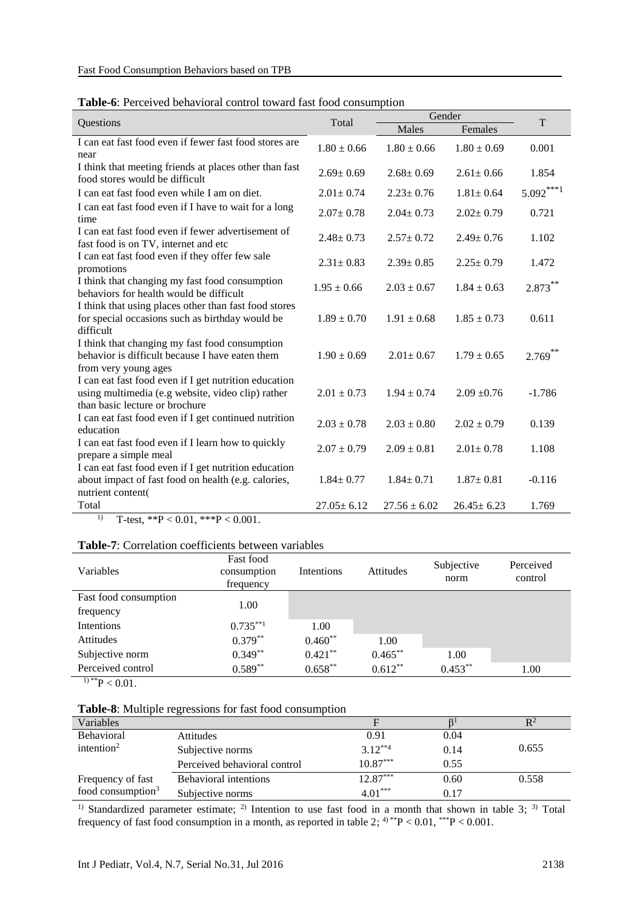#### **Table-6**: Perceived behavioral control toward fast food consumption

|                                                                                                                                              | Total            | Gender           | T                |             |
|----------------------------------------------------------------------------------------------------------------------------------------------|------------------|------------------|------------------|-------------|
| Questions                                                                                                                                    |                  | Males            | Females          |             |
| I can eat fast food even if fewer fast food stores are<br>near                                                                               | $1.80 \pm 0.66$  | $1.80 \pm 0.66$  | $1.80 \pm 0.69$  | 0.001       |
| I think that meeting friends at places other than fast<br>food stores would be difficult                                                     | $2.69 \pm 0.69$  | $2.68 \pm 0.69$  | $2.61 \pm 0.66$  | 1.854       |
| I can eat fast food even while I am on diet.                                                                                                 | $2.01 \pm 0.74$  | $2.23 \pm 0.76$  | $1.81 \pm 0.64$  | $5.092***1$ |
| I can eat fast food even if I have to wait for a long<br>time                                                                                | $2.07 \pm 0.78$  | $2.04 \pm 0.73$  | $2.02 \pm 0.79$  | 0.721       |
| I can eat fast food even if fewer advertisement of<br>fast food is on TV, internet and etc                                                   | $2.48 \pm 0.73$  | $2.57 \pm 0.72$  | $2.49 \pm 0.76$  | 1.102       |
| I can eat fast food even if they offer few sale<br>promotions                                                                                | $2.31 \pm 0.83$  | $2.39 \pm 0.85$  | $2.25 \pm 0.79$  | 1.472       |
| I think that changing my fast food consumption<br>behaviors for health would be difficult                                                    | $1.95 \pm 0.66$  | $2.03 \pm 0.67$  | $1.84 \pm 0.63$  | $2.873***$  |
| I think that using places other than fast food stores<br>for special occasions such as birthday would be<br>difficult                        | $1.89 \pm 0.70$  | $1.91 \pm 0.68$  | $1.85 \pm 0.73$  | 0.611       |
| I think that changing my fast food consumption<br>behavior is difficult because I have eaten them<br>from very young ages                    | $1.90 \pm 0.69$  | $2.01 \pm 0.67$  | $1.79 \pm 0.65$  | $2.769***$  |
| I can eat fast food even if I get nutrition education<br>using multimedia (e.g website, video clip) rather<br>than basic lecture or brochure | $2.01 \pm 0.73$  | $1.94 \pm 0.74$  | $2.09 \pm 0.76$  | $-1.786$    |
| I can eat fast food even if I get continued nutrition<br>education                                                                           | $2.03 \pm 0.78$  | $2.03 \pm 0.80$  | $2.02 \pm 0.79$  | 0.139       |
| I can eat fast food even if I learn how to quickly<br>prepare a simple meal                                                                  | $2.07 \pm 0.79$  | $2.09 \pm 0.81$  | $2.01 \pm 0.78$  | 1.108       |
| I can eat fast food even if I get nutrition education                                                                                        |                  |                  |                  |             |
| about impact of fast food on health (e.g. calories,                                                                                          | $1.84 \pm 0.77$  | $1.84 \pm 0.71$  | $1.87 \pm 0.81$  | $-0.116$    |
| nutrient content(                                                                                                                            |                  |                  |                  |             |
| Total                                                                                                                                        | $27.05 \pm 6.12$ | $27.56 \pm 6.02$ | $26.45 \pm 6.23$ | 1.769       |
| $\overline{1}$<br>T-test, **P < 0.01, ***P < 0.001.                                                                                          |                  |                  |                  |             |

#### **Table-7**: Correlation coefficients between variables

| Variables                                | <b>Fast food</b><br>consumption<br>frequency | <b>Intentions</b> | Attitudes  | Subjective<br>norm | Perceived<br>control |
|------------------------------------------|----------------------------------------------|-------------------|------------|--------------------|----------------------|
| Fast food consumption                    | 1.00                                         |                   |            |                    |                      |
| frequency                                |                                              |                   |            |                    |                      |
| Intentions                               | $0.735***1$                                  | 1.00              |            |                    |                      |
| Attitudes                                | $0.379**$                                    | $0.460**$         | 1.00       |                    |                      |
| Subjective norm                          | $0.349**$                                    | $0.421***$        | $0.465***$ | 1.00               |                      |
| Perceived control<br><b>ALCOHOL: YES</b> | $0.589**$                                    | $0.658**$         | $0.612**$  | $0.453***$         | 1.00                 |

 $1)$ \*\*P < 0.01.

#### **Table-8**: Multiple regressions for fast food consumption

| Variables              |                              |            |      |       |
|------------------------|------------------------------|------------|------|-------|
| <b>Behavioral</b>      | Attitudes                    | 0.91       | 0.04 |       |
| intention <sup>2</sup> | Subjective norms             | $3.12***4$ | 0.14 | 0.655 |
|                        | Perceived behavioral control | $10.87***$ | 0.55 |       |
| Frequency of fast      | <b>Behavioral intentions</b> | $12.87***$ | 0.60 | 0.558 |
| food consumption $3$   | Subjective norms             | $4.01***$  | 0.17 |       |
|                        |                              |            |      |       |

<sup>1)</sup> Standardized parameter estimate; <sup>2)</sup> Intention to use fast food in a month that shown in table 3; <sup>3)</sup> Total frequency of fast food consumption in a month, as reported in table 2;  $4^{4*}P < 0.01$ ,  $4^{4*}P < 0.001$ .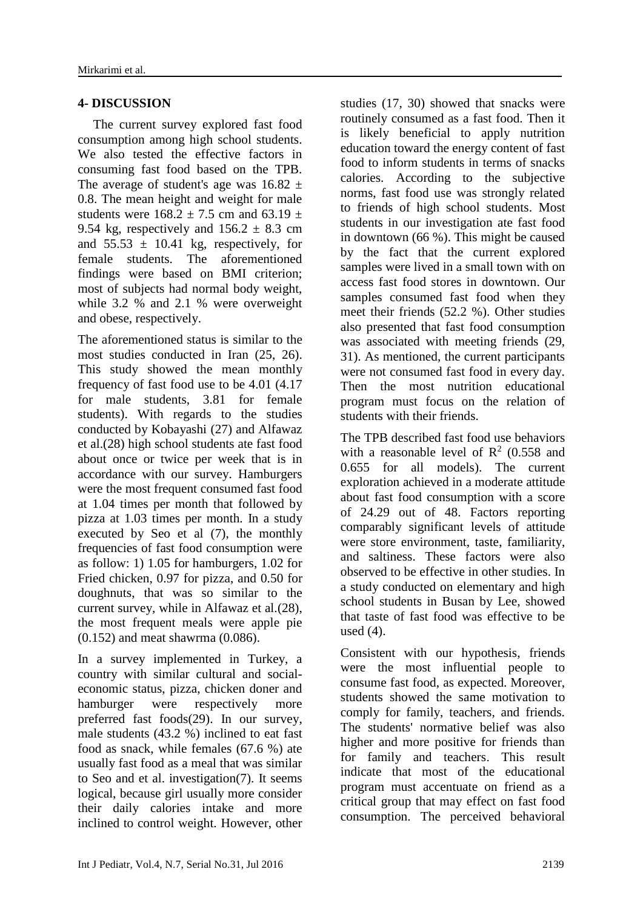#### **4- DISCUSSION**

The current survey explored fast food consumption among high school students. We also tested the effective factors in consuming fast food based on the TPB. The average of student's age was  $16.82 \pm$ 0.8. The mean height and weight for male students were  $168.2 \pm 7.5$  cm and  $63.19 \pm$ 9.54 kg, respectively and  $156.2 \pm 8.3$  cm and  $55.53 \pm 10.41$  kg, respectively, for female students. The aforementioned findings were based on BMI criterion; most of subjects had normal body weight, while 3.2 % and 2.1 % were overweight and obese, respectively.

The aforementioned status is similar to the most studies conducted in Iran [\(25,](#page-10-9) [26\)](#page-10-10). This study showed the mean monthly frequency of fast food use to be 4.01 (4.17 for male students, 3.81 for female students). With regards to the studies conducted by Kobayashi [\(27\)](#page-10-11) and Alfawaz et al.[\(28\)](#page-10-12) high school students ate fast food about once or twice per week that is in accordance with our survey. Hamburgers were the most frequent consumed fast food at 1.04 times per month that followed by pizza at 1.03 times per month. In a study executed by Seo et al [\(7\)](#page-9-6), the monthly frequencies of fast food consumption were as follow: 1) 1.05 for hamburgers, 1.02 for Fried chicken, 0.97 for pizza, and 0.50 for doughnuts, that was so similar to the current survey, while in Alfawaz et al.[\(28\)](#page-10-12), the most frequent meals were apple pie (0.152) and meat shawrma (0.086).

In a survey implemented in Turkey, a country with similar cultural and socialeconomic status, pizza, chicken doner and hamburger were respectively more preferred fast foods[\(29\)](#page-10-13). In our survey, male students (43.2 %) inclined to eat fast food as snack, while females (67.6 %) ate usually fast food as a meal that was similar to Seo and et al. investigation[\(7\)](#page-9-6). It seems logical, because girl usually more consider their daily calories intake and more inclined to control weight. However, other studies [\(17,](#page-10-3) [30\)](#page-10-14) showed that snacks were routinely consumed as a fast food. Then it is likely beneficial to apply nutrition education toward the energy content of fast food to inform students in terms of snacks calories. According to the subjective norms, fast food use was strongly related to friends of high school students. Most students in our investigation ate fast food in downtown (66 %). This might be caused by the fact that the current explored samples were lived in a small town with on access fast food stores in downtown. Our samples consumed fast food when they meet their friends (52.2 %). Other studies also presented that fast food consumption was associated with meeting friends [\(29,](#page-10-13) [31\)](#page-11-0). As mentioned, the current participants were not consumed fast food in every day. Then the most nutrition educational program must focus on the relation of students with their friends.

The TPB described fast food use behaviors with a reasonable level of  $\mathbb{R}^2$  (0.558 and 0.655 for all models). The current exploration achieved in a moderate attitude about fast food consumption with a score of 24.29 out of 48. Factors reporting comparably significant levels of attitude were store environment, taste, familiarity, and saltiness. These factors were also observed to be effective in other studies. In a study conducted on elementary and high school students in Busan by Lee, showed that taste of fast food was effective to be used [\(4\)](#page-9-3).

Consistent with our hypothesis, friends were the most influential people to consume fast food, as expected. Moreover, students showed the same motivation to comply for family, teachers, and friends. The students' normative belief was also higher and more positive for friends than for family and teachers. This result indicate that most of the educational program must accentuate on friend as a critical group that may effect on fast food consumption. The perceived behavioral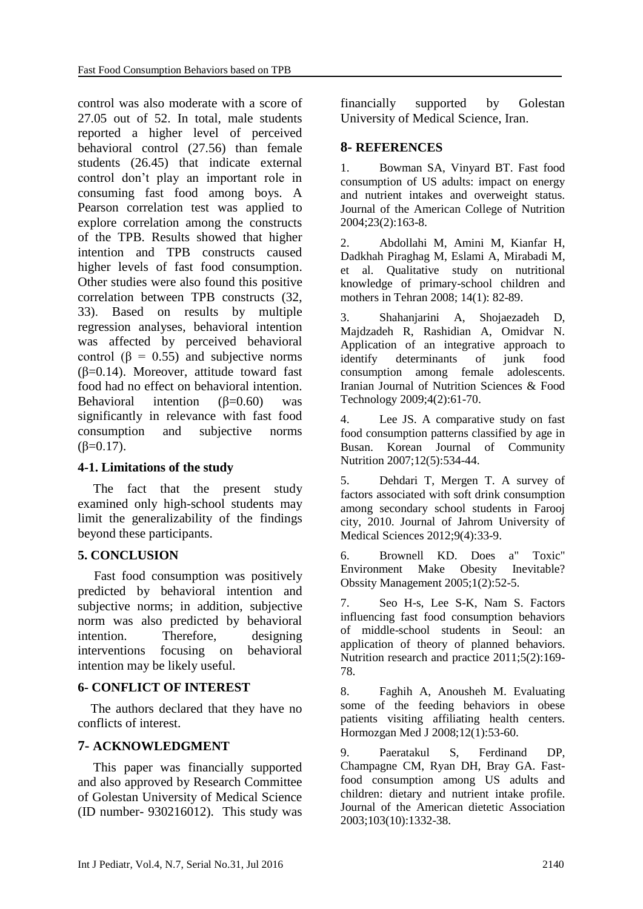control was also moderate with a score of 27.05 out of 52. In total, male students reported a higher level of perceived behavioral control (27.56) than female students (26.45) that indicate external control don't play an important role in consuming fast food among boys. A Pearson correlation test was applied to explore correlation among the constructs of the TPB. Results showed that higher intention and TPB constructs caused higher levels of fast food consumption. Other studies were also found this positive correlation between TPB constructs [\(32,](#page-11-1) [33\)](#page-11-2). Based on results by multiple regression analyses, behavioral intention was affected by perceived behavioral control ( $\beta = 0.55$ ) and subjective norms ( $\beta$ =0.14). Moreover, attitude toward fast food had no effect on behavioral intention. Behavioral intention  $(\beta=0.60)$  was significantly in relevance with fast food consumption and subjective norms  $(β=0.17)$ .

### **4-1. Limitations of the study**

The fact that the present study examined only high-school students may limit the generalizability of the findings beyond these participants.

### **5. CONCLUSION**

 Fast food consumption was positively predicted by behavioral intention and subjective norms; in addition, subjective norm was also predicted by behavioral intention. Therefore, designing interventions focusing on behavioral intention may be likely useful.

#### **6- CONFLICT OF INTEREST**

 The authors declared that they have no conflicts of interest.

### **7- ACKNOWLEDGMENT**

This paper was financially supported and also approved by Research Committee of Golestan University of Medical Science (ID number- 930216012). This study was financially supported by Golestan University of Medical Science, Iran.

#### **8- REFERENCES**

<span id="page-9-0"></span>1. Bowman SA, Vinyard BT. Fast food consumption of US adults: impact on energy and nutrient intakes and overweight status. Journal of the American College of Nutrition 2004;23(2):163-8.

<span id="page-9-1"></span>2. Abdollahi M, Amini M, Kianfar H, Dadkhah Piraghag M, Eslami A, Mirabadi M, et al. Qualitative study on nutritional knowledge of primary-school children and mothers in Tehran 2008; 14(1): 82-89.

<span id="page-9-2"></span>3. Shahanjarini A, Shojaezadeh D, Majdzadeh R, Rashidian A, Omidvar N. Application of an integrative approach to identify determinants of junk food consumption among female adolescents. Iranian Journal of Nutrition Sciences & Food Technology 2009;4(2):61-70.

<span id="page-9-3"></span>4. Lee JS. A comparative study on fast food consumption patterns classified by age in Busan. Korean Journal of Community Nutrition 2007;12(5):534-44.

<span id="page-9-4"></span>5. Dehdari T, Mergen T. A survey of factors associated with soft drink consumption among secondary school students in Farooj city, 2010. Journal of Jahrom University of Medical Sciences 2012;9(4):33-9.

<span id="page-9-5"></span>6. Brownell KD. Does a" Toxic" Environment Make Obesity Inevitable? Obssity Management 2005;1(2):52-5.

<span id="page-9-6"></span>7. Seo H-s, Lee S-K, Nam S. Factors influencing fast food consumption behaviors of middle-school students in Seoul: an application of theory of planned behaviors. Nutrition research and practice 2011;5(2):169- 78.

<span id="page-9-7"></span>8. Faghih A, Anousheh M. Evaluating some of the feeding behaviors in obese patients visiting affiliating health centers. Hormozgan Med J 2008;12(1):53-60.

<span id="page-9-8"></span>9. Paeratakul S, Ferdinand DP, Champagne CM, Ryan DH, Bray GA. Fastfood consumption among US adults and children: dietary and nutrient intake profile. Journal of the American dietetic Association 2003;103(10):1332-38.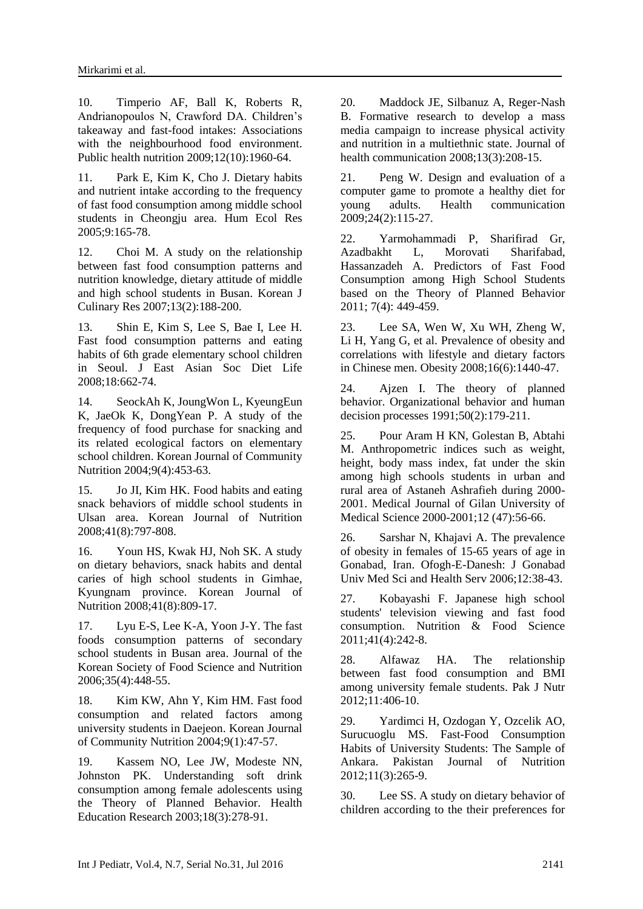<span id="page-10-0"></span>10. Timperio AF, Ball K, Roberts R, Andrianopoulos N, Crawford DA. Children's takeaway and fast-food intakes: Associations with the neighbourhood food environment. Public health nutrition 2009;12(10):1960-64.

<span id="page-10-1"></span>11. Park E, Kim K, Cho J. Dietary habits and nutrient intake according to the frequency of fast food consumption among middle school students in Cheongju area. Hum Ecol Res 2005;9:165-78.

12. Choi M. A study on the relationship between fast food consumption patterns and nutrition knowledge, dietary attitude of middle and high school students in Busan. Korean J Culinary Res 2007;13(2):188-200.

13. Shin E, Kim S, Lee S, Bae I, Lee H. Fast food consumption patterns and eating habits of 6th grade elementary school children in Seoul. J East Asian Soc Diet Life 2008;18:662-74.

<span id="page-10-2"></span>14. SeockAh K, JoungWon L, KyeungEun K, JaeOk K, DongYean P. A study of the frequency of food purchase for snacking and its related ecological factors on elementary school children. Korean Journal of Community Nutrition 2004;9(4):453-63.

15. Jo JI, Kim HK. Food habits and eating snack behaviors of middle school students in Ulsan area. Korean Journal of Nutrition 2008;41(8):797-808.

16. Youn HS, Kwak HJ, Noh SK. A study on dietary behaviors, snack habits and dental caries of high school students in Gimhae, Kyungnam province. Korean Journal of Nutrition 2008;41(8):809-17.

<span id="page-10-3"></span>17. Lyu E-S, Lee K-A, Yoon J-Y. The fast foods consumption patterns of secondary school students in Busan area. Journal of the Korean Society of Food Science and Nutrition 2006;35(4):448-55.

<span id="page-10-4"></span>18. Kim KW, Ahn Y, Kim HM. Fast food consumption and related factors among university students in Daejeon. Korean Journal of Community Nutrition 2004;9(1):47-57.

<span id="page-10-5"></span>19. Kassem NO, Lee JW, Modeste NN, Johnston PK. Understanding soft drink consumption among female adolescents using the Theory of Planned Behavior. Health Education Research 2003;18(3):278-91.

20. Maddock JE, Silbanuz A, Reger-Nash B. Formative research to develop a mass media campaign to increase physical activity and nutrition in a multiethnic state. Journal of health communication 2008;13(3):208-15.

21. Peng W. Design and evaluation of a computer game to promote a healthy diet for young adults. Health communication 2009;24(2):115-27.

<span id="page-10-6"></span>22. Yarmohammadi P, Sharifirad Gr, Azadbakht L, Morovati Sharifabad, Hassanzadeh A. Predictors of Fast Food Consumption among High School Students based on the Theory of Planned Behavior 2011; 7(4): 449-459.

<span id="page-10-7"></span>23. Lee SA, Wen W, Xu WH, Zheng W, Li H, Yang G, et al. Prevalence of obesity and correlations with lifestyle and dietary factors in Chinese men. Obesity 2008;16(6):1440-47.

<span id="page-10-8"></span>24. Ajzen I. The theory of planned behavior. Organizational behavior and human decision processes 1991;50(2):179-211.

<span id="page-10-9"></span>25. Pour Aram H KN, Golestan B, Abtahi M. Anthropometric indices such as weight, height, body mass index, fat under the skin among high schools students in urban and rural area of Astaneh Ashrafieh during 2000- 2001. Medical Journal of Gilan University of Medical Science 2000-2001;12 (47):56-66.

<span id="page-10-10"></span>26. Sarshar N, Khajavi A. The prevalence of obesity in females of 15-65 years of age in Gonabad, Iran. Ofogh-E-Danesh: J Gonabad Univ Med Sci and Health Serv 2006;12:38-43.

<span id="page-10-11"></span>27. Kobayashi F. Japanese high school students' television viewing and fast food consumption. Nutrition & Food Science 2011;41(4):242-8.

<span id="page-10-12"></span>28. Alfawaz HA. The relationship between fast food consumption and BMI among university female students. Pak J Nutr 2012;11:406-10.

<span id="page-10-13"></span>29. Yardimci H, Ozdogan Y, Ozcelik AO, Surucuoglu MS. Fast-Food Consumption Habits of University Students: The Sample of Ankara. Pakistan Journal of Nutrition 2012;11(3):265-9.

<span id="page-10-14"></span>30. Lee SS. A study on dietary behavior of children according to the their preferences for